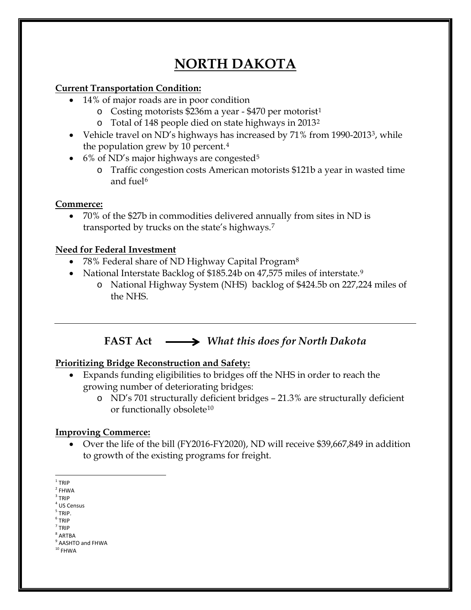# **NORTH DAKOTA**

### **Current Transportation Condition:**

- 14% of major roads are in poor condition
	- o Costing motorists \$236m a year \$470 per motorist[1](#page-0-0)
	- o Total of 148 people died on state highways in 2013[2](#page-0-1)
- Vehicle travel on ND's highways has increased by 71% from 1990-2013<sup>3</sup>, while the population grew by 10 percent.[4](#page-0-3)
- 6% of ND's major highways are congested<sup>[5](#page-0-4)</sup>
	- o Traffic congestion costs American motorists \$121b a year in wasted time and fuel<sup>[6](#page-0-5)</sup>

### **Commerce:**

• 70% of the \$27b in commodities delivered annually from sites in ND is transported by trucks on the state's highways.[7](#page-0-6)

# **Need for Federal Investment**

- 7[8](#page-0-7)% Federal share of ND Highway Capital Program<sup>8</sup>
- National Interstate Backlog of \$185.24b on 47,575 miles of interstate.<sup>[9](#page-0-8)</sup>
	- o National Highway System (NHS) backlog of \$424.5b on 227,224 miles of the NHS.

# **FAST Act** *What this does for North Dakota*

# **Prioritizing Bridge Reconstruction and Safety:**

- Expands funding eligibilities to bridges off the NHS in order to reach the growing number of deteriorating bridges:
	- o ND's 701 structurally deficient bridges 21.3% are structurally deficient or functionally obsolete<sup>[10](#page-0-9)</sup>

# **Improving Commerce:**

- Over the life of the bill (FY2016-FY2020), ND will receive \$39,667,849 in addition to growth of the existing programs for freight.
- <span id="page-0-0"></span> $1$  TRIP

- <span id="page-0-3"></span><sup>4</sup> US Census  $<sup>5</sup>$  TRIP.</sup>
- <span id="page-0-4"></span><sup>6</sup> TRIP
- <span id="page-0-5"></span> $7$  TRIP
- <span id="page-0-7"></span><span id="page-0-6"></span><sup>8</sup> ARTBA

<span id="page-0-1"></span> $2$  FHWA

<span id="page-0-2"></span> $3$  TRIP

<sup>&</sup>lt;sup>9</sup> AASHTO and FHWA

<span id="page-0-9"></span><span id="page-0-8"></span> $^{\rm 10}$  FHWA